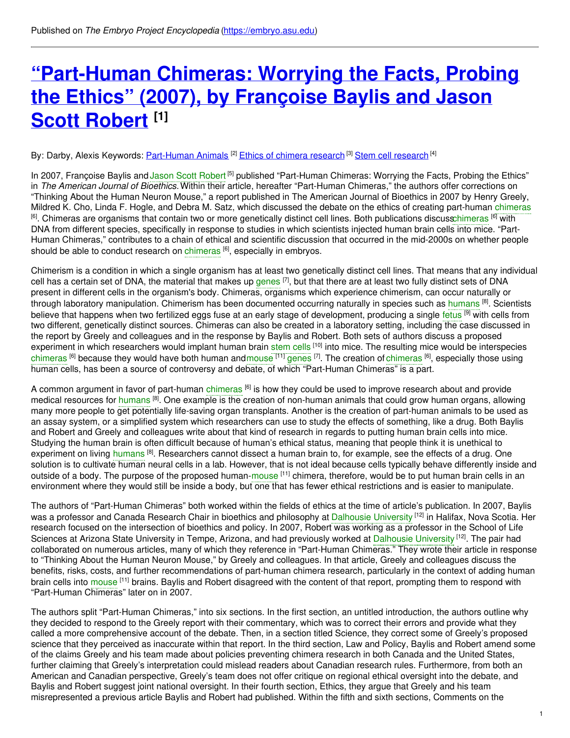# **["Part-Human](https://embryo.asu.edu/pages/part-human-chimeras-worrying-facts-probing-ethics-2007-francoise-baylis-and-jason-scott-robert) Chimeras: Worrying the Facts, Probing the Ethics" (2007), by Françoise Baylis and Jason Scott Robert [1]**

By: Darby, Alexis Keywords: <u>[Part-Human](https://embryo.asu.edu/keywords/part-human-animals) Animals <sup>[2]</sup> Ethics of chimera [research](https://embryo.asu.edu/keywords/stem-cell-research)</u> <sup>[3]</sup> Stem cell research <sup>[4]</sup>

In 2007, Françoise Baylis and Jason Scott [Robert](https://embryo.asu.edu/search?text=Jason%20Scott%20Robert)<sup>[5]</sup> published "Part-Human Chimeras: Worrying the Facts, Probing the Ethics" in *The American Journal of Bioethics.* Within their article, hereafter "Part-Human Chimeras," the authors offer corrections on "Thinking About the Human Neuron Mouse," a report published in The American Journal of Bioethics in 2007 by Henry Greely, Mildred K. Cho, Linda F. Hogle, and Debra M. Satz, which discussed the debate on the ethics of creating part-human [chimeras](https://embryo.asu.edu/search?text=chimeras) <sup>[6]</sup>. Chimeras are organisms that contain two or more genetically distinct cell lines. Both publications discus[schimeras](https://embryo.asu.edu/search?text=chimeras) <sup>[6]</sup> with DNA from different species, specifically in response to studies in which scientists injected human brain cells into mice. "Part-Human Chimeras," contributes to a chain of ethical and scientific discussion that occurred in the mid-2000s on whether people should be able to conduct research on [chimeras](https://embryo.asu.edu/search?text=chimeras) [6], especially in embryos.

Chimerism is a condition in which a single organism has at least two genetically distinct cell lines. That means that any individual cell has a certain set of DNA, the material that makes up [genes](https://embryo.asu.edu/search?text=genes) <sup>[7]</sup>, but that there are at least two fully distinct sets of DNA present in different cells in the organism's body. Chimeras, organisms which experience chimerism, can occur naturally or through laboratory manipulation. Chimerism has been documented occurring naturally in species such as [humans](https://embryo.asu.edu/search?text=humans) <sup>[8]</sup>. Scientists believe that happens when two fertilized eggs fuse at an early stage of development, producing a single [fetus](https://embryo.asu.edu/search?text=fetus) <sup>[9]</sup> with cells from two different, genetically distinct sources. Chimeras can also be created in a laboratory setting, including the case discussed in the report by Greely and colleagues and in the response by Baylis and Robert. Both sets of authors discuss a proposed experiment in which researchers would implant human brain [stem](https://embryo.asu.edu/search?text=stem%20cells) cells <sup>[10]</sup> into mice. The resulting mice would be interspecies [chimeras](https://embryo.asu.edu/search?text=chimeras) <sup>[6]</sup> because they would have both human and[mouse](https://embryo.asu.edu/search?text=mouse) <sup>[11]</sup> [genes](https://embryo.asu.edu/search?text=genes) <sup>[7]</sup>. The creation of chimeras <sup>[6]</sup>, especially those using human cells, has been a source of controversy and debate, of which "Part-Human Chimeras" is a part.

A common argument in favor of part-human [chimeras](https://embryo.asu.edu/search?text=chimeras) <sup>[6]</sup> is how they could be used to improve research about and provide medical resources for [humans](https://embryo.asu.edu/search?text=humans) <sup>[8]</sup>. One example is the creation of non-human animals that could grow human organs, allowing many more people to get potentially life-saving organ transplants. Another is the creation of part-human animals to be used as an assay system, or a simplified system which researchers can use to study the effects of something, like a drug. Both Baylis and Robert and Greely and colleagues write about that kind of research in regards to putting human brain cells into mice. Studying the human brain is often difficult because of human's ethical status, meaning that people think it is unethical to experiment on living [humans](https://embryo.asu.edu/search?text=humans) <sup>[8]</sup>. Researchers cannot dissect a human brain to, for example, see the effects of a drug. One solution is to cultivate human neural cells in a lab. However, that is not ideal because cells typically behave differently inside and outside of a body. The purpose of the proposed human-[mouse](https://embryo.asu.edu/search?text=mouse) <sup>[11]</sup> chimera, therefore, would be to put human brain cells in an environment where they would still be inside a body, but one that has fewer ethical restrictions and is easier to manipulate.

The authors of "Part-Human Chimeras" both worked within the fields of ethics at the time of article's publication. In 2007, Baylis was a professor and Canada Research Chair in bioethics and philosophy at [Dalhousie](https://embryo.asu.edu/search?text=Dalhousie%20University) University <sup>[12]</sup> in Halifax, Nova Scotia. Her research focused on the intersection of bioethics and policy. In 2007, Robert was working as a professor in the School of Life Sciences at Arizona State University in Tempe, Arizona, and had previously worked at [Dalhousie](https://embryo.asu.edu/search?text=Dalhousie%20University) University <sup>[12]</sup>. The pair had collaborated on numerous articles, many of which they reference in "Part-Human Chimeras." They wrote their article in response to "Thinking About the Human Neuron Mouse," by Greely and colleagues. In that article, Greely and colleagues discuss the benefits, risks, costs, and further recommendations of part-human chimera research, particularly in the context of adding human brain cells into [mouse](https://embryo.asu.edu/search?text=mouse) <sup>[11]</sup> brains. Baylis and Robert disagreed with the content of that report, prompting them to respond with "Part-Human Chimeras" later on in 2007.

The authors split "Part-Human Chimeras," into six sections. In the first section, an untitled introduction, the authors outline why they decided to respond to the Greely report with their commentary, which was to correct their errors and provide what they called a more comprehensive account of the debate. Then, in a section titled Science, they correct some of Greely's proposed science that they perceived as inaccurate within that report. In the third section, Law and Policy, Baylis and Robert amend some of the claims Greely and his team made about policies preventing chimera research in both Canada and the United States, further claiming that Greely's interpretation could mislead readers about Canadian research rules. Furthermore, from both an American and Canadian perspective, Greely's team does not offer critique on regional ethical oversight into the debate, and Baylis and Robert suggest joint national oversight. In their fourth section, Ethics, they argue that Greely and his team misrepresented a previous article Baylis and Robert had published. Within the fifth and sixth sections, Comments on the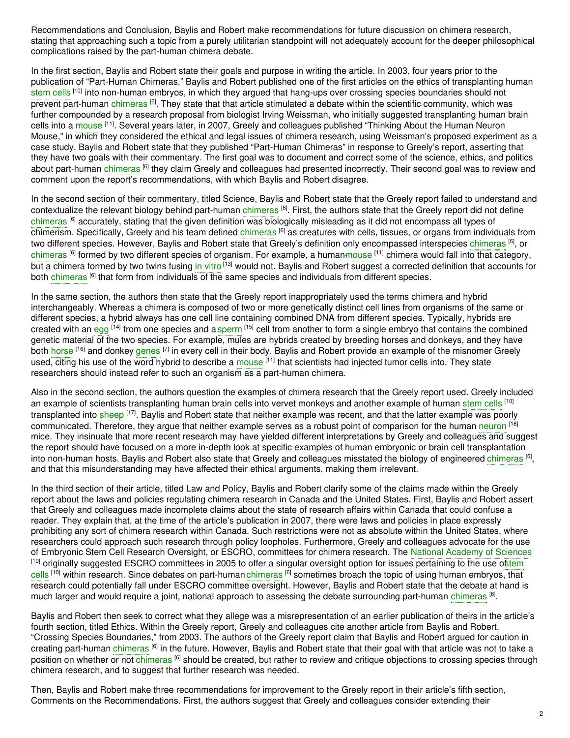Recommendations and Conclusion, Baylis and Robert make recommendations for future discussion on chimera research, stating that approaching such a topic from a purely utilitarian standpoint will not adequately account for the deeper philosophical complications raised by the part-human chimera debate.

In the first section, Baylis and Robert state their goals and purpose in writing the article. In 2003, four years prior to the publication of "Part-Human Chimeras," Baylis and Robert published one of the first articles on the ethics of transplanting human [stem](https://embryo.asu.edu/search?text=stem%20cells) cells <sup>[10]</sup> into non-human embryos, in which they argued that hang-ups over crossing species boundaries should not prevent part-human [chimeras](https://embryo.asu.edu/search?text=chimeras) <sup>[6]</sup>. They state that that article stimulated a debate within the scientific community, which was further compounded by a research proposal from biologist Irving Weissman, who initially suggested transplanting human brain cells into a [mouse](https://embryo.asu.edu/search?text=mouse) <sup>[11]</sup>. Several years later, in 2007, Greely and colleagues published "Thinking About the Human Neuron Mouse," in which they considered the ethical and legal issues of chimera research, using Weissman's proposed experiment as a case study. Baylis and Robert state that they published "Part-Human Chimeras" in response to Greely's report, asserting that they have two goals with their commentary. The first goal was to document and correct some of the science, ethics, and politics about part-human [chimeras](https://embryo.asu.edu/search?text=chimeras) <sup>[6]</sup> they claim Greely and colleagues had presented incorrectly. Their second goal was to review and comment upon the report's recommendations, with which Baylis and Robert disagree.

In the second section of their commentary, titled Science, Baylis and Robert state that the Greely report failed to understand and contextualize the relevant biology behind part-human [chimeras](https://embryo.asu.edu/search?text=chimeras) <sup>[6]</sup>. First, the authors state that the Greely report did not define [chimeras](https://embryo.asu.edu/search?text=chimeras) [6] accurately, stating that the given definition was biologically misleading as it did not encompass all types of chimerism. Specifically, Greely and his team defined [chimeras](https://embryo.asu.edu/search?text=chimeras) <sup>[6]</sup> as creatures with cells, tissues, or organs from individuals from two different species. However, Baylis and Robert state that Greely's definition only encompassed interspecies [chimeras](https://embryo.asu.edu/search?text=chimeras) <sup>[6]</sup>, or [chimeras](https://embryo.asu.edu/search?text=chimeras) <sup>[6]</sup> formed by two different species of organism. For example, a human<del>mouse</del> [11] chimera would fall into that category, but a chimera formed by two twins fusing i<mark>n [vitro](https://embryo.asu.edu/search?text=in%20vitro) <sup>[13]</sup> would not. Baylis and Robert suggest a corrected definition that accounts for</mark> both [chimeras](https://embryo.asu.edu/search?text=chimeras) <sup>(6)</sup> that form from individuals of the same species and individuals from different species.

In the same section, the authors then state that the Greely report inappropriately used the terms chimera and hybrid interchangeably. Whereas a chimera is composed of two or more genetically distinct cell lines from organisms of the same or different species, a hybrid always has one cell line containing combined DNA from different species. Typically, hybrids are created with an [egg](https://embryo.asu.edu/search?text=egg) <sup>[14]</sup> from one species and a [sperm](https://embryo.asu.edu/search?text=sperm) [<sup>15]</sup> cell from another to form a single embryo that contains the combined genetic material of the two species. For example, mules are hybrids created by breeding horses and donkeys, and they have both [horse](https://embryo.asu.edu/search?text=horse) <sup>[16]</sup> and donkey [genes](https://embryo.asu.edu/search?text=genes) <sup>[7]</sup> in every cell in their body. Baylis and Robert provide an example of the misnomer Greely used, citing his use of the word hybrid to describe a [mouse](https://embryo.asu.edu/search?text=mouse) <sup>[11]</sup> that scientists had injected tumor cells into. They state researchers should instead refer to such an organism as a part-human chimera.

Also in the second section, the authors question the examples of chimera research that the Greely report used. Greely included an example of scientists transplanting human brain cells into vervet monkeys and another example of human [stem](https://embryo.asu.edu/search?text=stem%20cells) cells <sup>[10]</sup> transplanted into [sheep](https://embryo.asu.edu/search?text=sheep) <sup>[17]</sup>. Baylis and Robert state that neither example was recent, and that the latter example was poorly communicated. Therefore, they argue that neither example serves as a robust point of comparison for the human [neuron](https://embryo.asu.edu/search?text=neuron) <sup>[18]</sup> mice. They insinuate that more recent research may have yielded different interpretations by Greely and colleagues and suggest the report should have focused on a more in-depth look at specific examples of human embryonic or brain cell transplantation into non-human hosts. Baylis and Robert also state that Greely and colleagues misstated the biology of engineered [chimeras](https://embryo.asu.edu/search?text=chimeras) <sup>[6]</sup>, and that this misunderstanding may have affected their ethical arguments, making them irrelevant.

In the third section of their article, titled Law and Policy, Baylis and Robert clarify some of the claims made within the Greely report about the laws and policies regulating chimera research in Canada and the United States. First, Baylis and Robert assert that Greely and colleagues made incomplete claims about the state of research affairs within Canada that could confuse a reader. They explain that, at the time of the article's publication in 2007, there were laws and policies in place expressly prohibiting any sort of chimera research within Canada. Such restrictions were not as absolute within the United States, where researchers could approach such research through policy loopholes. Furthermore, Greely and colleagues advocate for the use of Embryonic Stem Cell Research Oversight, or ESCRO, committees for chimera research. The National [Academy](https://embryo.asu.edu/search?text=National%20Academy%20of%20Sciences) of Sciences [19] originally suggested ESCRO committees in 2005 to offer a singular oversight option for issues pertaining to the use oftem cells <sup>[10]</sup> within research. Since debates on [part-human](https://embryo.asu.edu/search?text=stem%20cells) [chimeras](https://embryo.asu.edu/search?text=chimeras) <sup>[6]</sup> sometimes broach the topic of using human embryos, that research could potentially fall under ESCRO committee oversight. However, Baylis and Robert state that the debate at hand is much larger and would require a joint, national approach to assessing the debate surrounding part-human [chimeras](https://embryo.asu.edu/search?text=chimeras) <sup>[6]</sup>.

Baylis and Robert then seek to correct what they allege was a misrepresentation of an earlier publication of theirs in the article's fourth section, titled Ethics. Within the Greely report, Greely and colleagues cite another article from Baylis and Robert, "Crossing Species Boundaries," from 2003. The authors of the Greely report claim that Baylis and Robert argued for caution in creating part-human [chimeras](https://embryo.asu.edu/search?text=chimeras) <sup>[6]</sup> in the future. However, Baylis and Robert state that their goal with that article was not to take a position on whether or not [chimeras](https://embryo.asu.edu/search?text=chimeras) <sup>[6]</sup> should be created, but rather to review and critique objections to crossing species through chimera research, and to suggest that further research was needed.

Then, Baylis and Robert make three recommendations for improvement to the Greely report in their article's fifth section, Comments on the Recommendations. First, the authors suggest that Greely and colleagues consider extending their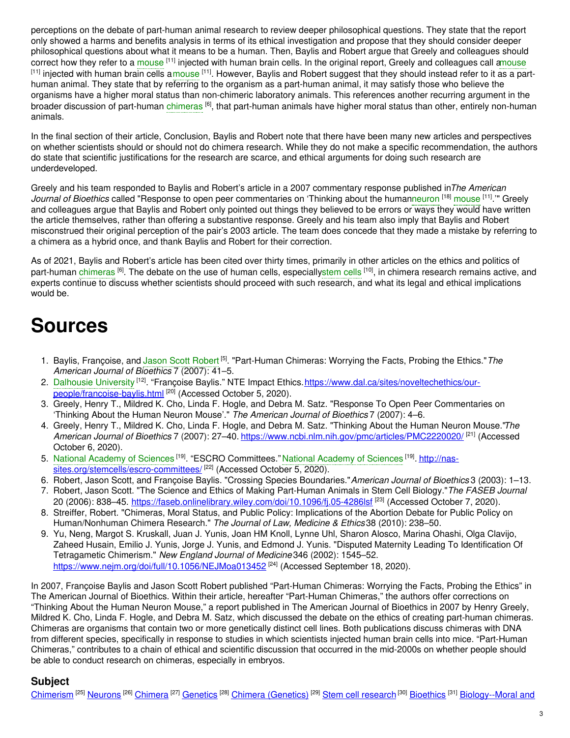perceptions on the debate of part-human animal research to review deeper philosophical questions. They state that the report only showed a harms and benefits analysis in terms of its ethical investigation and propose that they should consider deeper philosophical questions about what it means to be a human. Then, Baylis and Robert argue that Greely and colleagues should correct how they refer to a [mouse](https://embryo.asu.edu/search?text=mouse) <sup>[11]</sup> injected with human brain cells. In the original report, Greely and colleagues call [amouse](https://embryo.asu.edu/search?text=mouse) <sup>[11]</sup> injected with human brain cells a[mouse](https://embryo.asu.edu/search?text=mouse) <sup>[11]</sup>. However, Baylis and Robert suggest that they should instead refer to it as a parthuman animal. They state that by referring to the organism as a part-human animal, it may satisfy those who believe the organisms have a higher moral status than non-chimeric laboratory animals. This references another recurring argument in the broader discussion of part-human [chimeras](https://embryo.asu.edu/search?text=chimeras) <sup>[6]</sup>, that part-human animals have higher moral status than other, entirely non-human animals.

In the final section of their article, Conclusion, Baylis and Robert note that there have been many new articles and perspectives on whether scientists should or should not do chimera research. While they do not make a specific recommendation, the authors do state that scientific justifications for the research are scarce, and ethical arguments for doing such research are underdeveloped.

Greely and his team responded to Baylis and Robert's article in a 2007 commentary response published in*The American* Journal of Bioethics called "Response to open peer commentaries on 'Thinking about the huma[nneuron](https://embryo.asu.edu/search?text=neuron) [18] [mouse](https://embryo.asu.edu/search?text=mouse) [11]." Greely and colleagues argue that Baylis and Robert only pointed out things they believed to be errors or ways they would have written the article themselves, rather than offering a substantive response. Greely and his team also imply that Baylis and Robert misconstrued their original perception of the pair's 2003 article. The team does concede that they made a mistake by referring to a chimera as a hybrid once, and thank Baylis and Robert for their correction.

As of 2021, Baylis and Robert's article has been cited over thirty times, primarily in other articles on the ethics and politics of part-human [chimeras](https://embryo.asu.edu/search?text=chimeras) <sup>[6]</sup>. The debate on the use of human cells, especiall[ystem](https://embryo.asu.edu/search?text=stem%20cells) cells <sup>[10]</sup>, in chimera research remains active, and experts continue to discuss whether scientists should proceed with such research, and what its legal and ethical implications would be.

## **Sources**

- 1. Baylis, Françoise, and Jason Scott [Robert](https://embryo.asu.edu/search?text=Jason%20Scott%20Robert)<sup>[5]</sup>. "Part-Human Chimeras: Worrying the Facts, Probing the Ethics." The *American Journal of Bioethics* 7 (2007): 41–5.
- 2. [Dalhousie](https://embryo.asu.edu/search?text=Dalhousie%20University) University <sup>[12]</sup>. "Françoise Baylis." NTE Impact Ethics. *https://www.dal.ca/sites/noveltechethics/our*people/francoise-baylis.html [20] (Accessed October 5, 2020).
- 3. Greely, Henry T., Mildred K. Cho, Linda F. Hogle, and Debra M. Satz. "Response To Open Peer Commentaries on 'Thinking About the Human Neuron Mouse'." *The American Journal of Bioethics* 7 (2007): 4–6.
- 4. Greely, Henry T., Mildred K. Cho, Linda F. Hogle, and Debra M. Satz. "Thinking About the Human Neuron Mouse."*The American Journal of Bioethics* 7 (2007): 27–40. <https://www.ncbi.nlm.nih.gov/pmc/articles/PMC2220020/> [21] (Accessed October 6, 2020).
- 5. National [Academy](https://embryo.asu.edu/search?text=National%20Academy%20of%20Sciences) of Sciences <sup>[19]</sup>. "ESCRO Committees." National Academy of Sciences <sup>[19]</sup>. http://nas[sites.org/stemcells/escro-committees/](http://nas-sites.org/stemcells/escro-committees/)<sup>[22]</sup> (Accessed October 5, 2020).
- 6. Robert, Jason Scott, and Françoise Baylis. "Crossing Species Boundaries."*American Journal of Bioethics* 3 (2003): 1–13.
- 7. Robert, Jason Scott. "The Science and Ethics of Making Part-Human Animals in Stem Cell Biology."*The FASEB Journal* 20 (2006): 838–45. <u><https://faseb.onlinelibrary.wiley.com/doi/10.1096/fj.05-4286lsf></u> <sup>[23]</sup> (Accessed October 7, 2020).
- 8. Streiffer, Robert. "Chimeras, Moral Status, and Public Policy: Implications of the Abortion Debate for Public Policy on Human/Nonhuman Chimera Research." *The Journal of Law, Medicine & Ethics*38 (2010): 238–50.
- 9. Yu, Neng, Margot S. Kruskall, Juan J. Yunis, Joan HM Knoll, Lynne Uhl, Sharon Alosco, Marina Ohashi, Olga Clavijo, Zaheed Husain, Emilio J. Yunis, Jorge J. Yunis, and Edmond J. Yunis. "Disputed Maternity Leading To Identification Of Tetragametic Chimerism." *New England Journal of Medicine* 346 (2002): 1545–52. <https://www.nejm.org/doi/full/10.1056/NEJMoa013452> [24] (Accessed September 18, 2020).

In 2007, Françoise Baylis and Jason Scott Robert published "Part-Human Chimeras: Worrying the Facts, Probing the Ethics" in The American Journal of Bioethics. Within their article, hereafter "Part-Human Chimeras," the authors offer corrections on "Thinking About the Human Neuron Mouse," a report published in The American Journal of Bioethics in 2007 by Henry Greely, Mildred K. Cho, Linda F. Hogle, and Debra M. Satz, which discussed the debate on the ethics of creating part-human chimeras. Chimeras are organisms that contain two or more genetically distinct cell lines. Both publications discuss chimeras with DNA from different species, specifically in response to studies in which scientists injected human brain cells into mice. "Part-Human Chimeras," contributes to a chain of ethical and scientific discussion that occurred in the mid-2000s on whether people should be able to conduct research on chimeras, especially in embryos.

### **Subject**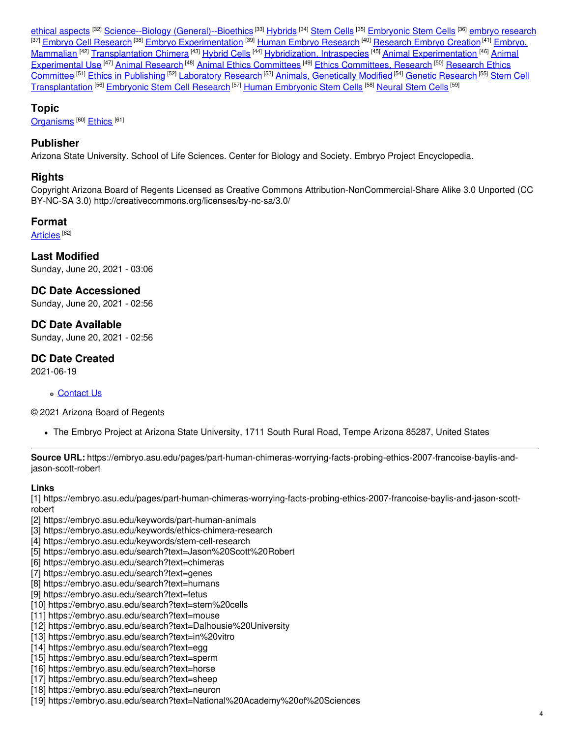ethical aspects <sup>[32]</sup> Science--Biology [\(General\)--Bioethics](https://embryo.asu.edu/library-congress-subject-headings/science-biology-general-bioethics) <sup>[33]</sup> [Hybrids](https://embryo.asu.edu/medical-subject-headings/hybrids) <sup>[34]</sup> [Stem](https://embryo.asu.edu/medical-subject-headings/stem-cells) Cells <sup>[35]</sup> [Embryonic](https://embryo.asu.edu/medical-subject-headings/embryonic-stem-cells) Stem Cells <sup>[36]</sup> embryo [research](https://embryo.asu.edu/medical-subject-headings/embryo-research) <sup>[37]</sup> Embryo Cell [Research](https://embryo.asu.edu/medical-subject-headings/research-embryo-creation) <sup>[38]</sup> Embryo [Experimentation](https://embryo.asu.edu/medical-subject-headings/embryo-mammalian) <sup>[39]</sup> Human Embryo Research <sup>[40]</sup> Research Embryo Creation <sup>[41]</sup> Embryo, Mammalian <sup>(42)</sup> [Transplantation](https://embryo.asu.edu/medical-subject-headings/transplantation-chimera) Chimera <sup>[43]</sup> [Hybrid](https://embryo.asu.edu/medical-subject-headings/hybrid-cells) Cells <sup>[44]</sup> [Hybridization,](https://embryo.asu.edu/medical-subject-headings/hybridization-intraspecies) Intraspecies <sup>[45]</sup> Animal [Experimentation](https://embryo.asu.edu/medical-subject-headings/animal-experimental-use) <sup>[46]</sup> Animal [Experimental](https://embryo.asu.edu/medical-subject-headings/research-ethics-committee) Use <sup>[47]</sup> Animal [Research](https://embryo.asu.edu/medical-subject-headings/animal-research) <sup>[48]</sup> Animal Ethics [Committees](https://embryo.asu.edu/medical-subject-headings/animal-ethics-committees) <sup>[49]</sup> Ethics [Committees,](https://embryo.asu.edu/medical-subject-headings/ethics-committees-research) Research <sup>[50]</sup> Research Ethics Committee <sup>[51]</sup> Ethics in [Publishing](https://embryo.asu.edu/medical-subject-headings/ethics-publishing) <sup>[52]</sup> [Laboratory](https://embryo.asu.edu/medical-subject-headings/laboratory-research) Research <sup>[53]</sup> Animals, [Genetically](https://embryo.asu.edu/medical-subject-headings/animals-genetically-modified) Modified <sup>[54]</sup> Genetic [Research](https://embryo.asu.edu/medical-subject-headings/genetic-research) <sup>[55]</sup> Stem Cell <u>[Transplantation](https://embryo.asu.edu/medical-subject-headings/stem-cell-transplantation) [56] [Embryonic](https://embryo.asu.edu/medical-subject-headings/human-embryonic-stem-cells) Stem Cell Research [57] Human Embryonic Stem Cells</u> [58] <u>[Neural](https://embryo.asu.edu/medical-subject-headings/neural-stem-cells) Stem Cells</u> [59]

#### **Topic**

[Organisms](https://embryo.asu.edu/topics/organisms)<sup>[60]</sup> [Ethics](https://embryo.asu.edu/topics/ethics)<sup>[61]</sup>

#### **Publisher**

Arizona State University. School of Life Sciences. Center for Biology and Society. Embryo Project Encyclopedia.

#### **Rights**

Copyright Arizona Board of Regents Licensed as Creative Commons Attribution-NonCommercial-Share Alike 3.0 Unported (CC BY-NC-SA 3.0) http://creativecommons.org/licenses/by-nc-sa/3.0/

#### **Format**

<u>[Articles](https://embryo.asu.edu/formats/articles)</u> [<sup>62]</sup>

**Last Modified** Sunday, June 20, 2021 - 03:06

**DC Date Accessioned** Sunday, June 20, 2021 - 02:56

**DC Date Available** Sunday, June 20, 2021 - 02:56

**DC Date Created** 2021-06-19

[Contact](https://embryo.asu.edu/contact) Us

© 2021 Arizona Board of Regents

The Embryo Project at Arizona State University, 1711 South Rural Road, Tempe Arizona 85287, United States

**Source URL:** https://embryo.asu.edu/pages/part-human-chimeras-worrying-facts-probing-ethics-2007-francoise-baylis-andjason-scott-robert

#### **Links**

[1] https://embryo.asu.edu/pages/part-human-chimeras-worrying-facts-probing-ethics-2007-francoise-baylis-and-jason-scottrobert

- [2] https://embryo.asu.edu/keywords/part-human-animals
- [3] https://embryo.asu.edu/keywords/ethics-chimera-research
- [4] https://embryo.asu.edu/keywords/stem-cell-research
- [5] https://embryo.asu.edu/search?text=Jason%20Scott%20Robert
- [6] https://embryo.asu.edu/search?text=chimeras
- [7] https://embryo.asu.edu/search?text=genes
- [8] https://embryo.asu.edu/search?text=humans
- [9] https://embryo.asu.edu/search?text=fetus
- [10] https://embryo.asu.edu/search?text=stem%20cells
- [11] https://embryo.asu.edu/search?text=mouse
- [12] https://embryo.asu.edu/search?text=Dalhousie%20University
- [13] https://embryo.asu.edu/search?text=in%20vitro
- [14] https://embryo.asu.edu/search?text=egg
- [15] https://embryo.asu.edu/search?text=sperm
- [16] https://embryo.asu.edu/search?text=horse
- [17] https://embryo.asu.edu/search?text=sheep
- [18] https://embryo.asu.edu/search?text=neuron
- [19] https://embryo.asu.edu/search?text=National%20Academy%20of%20Sciences